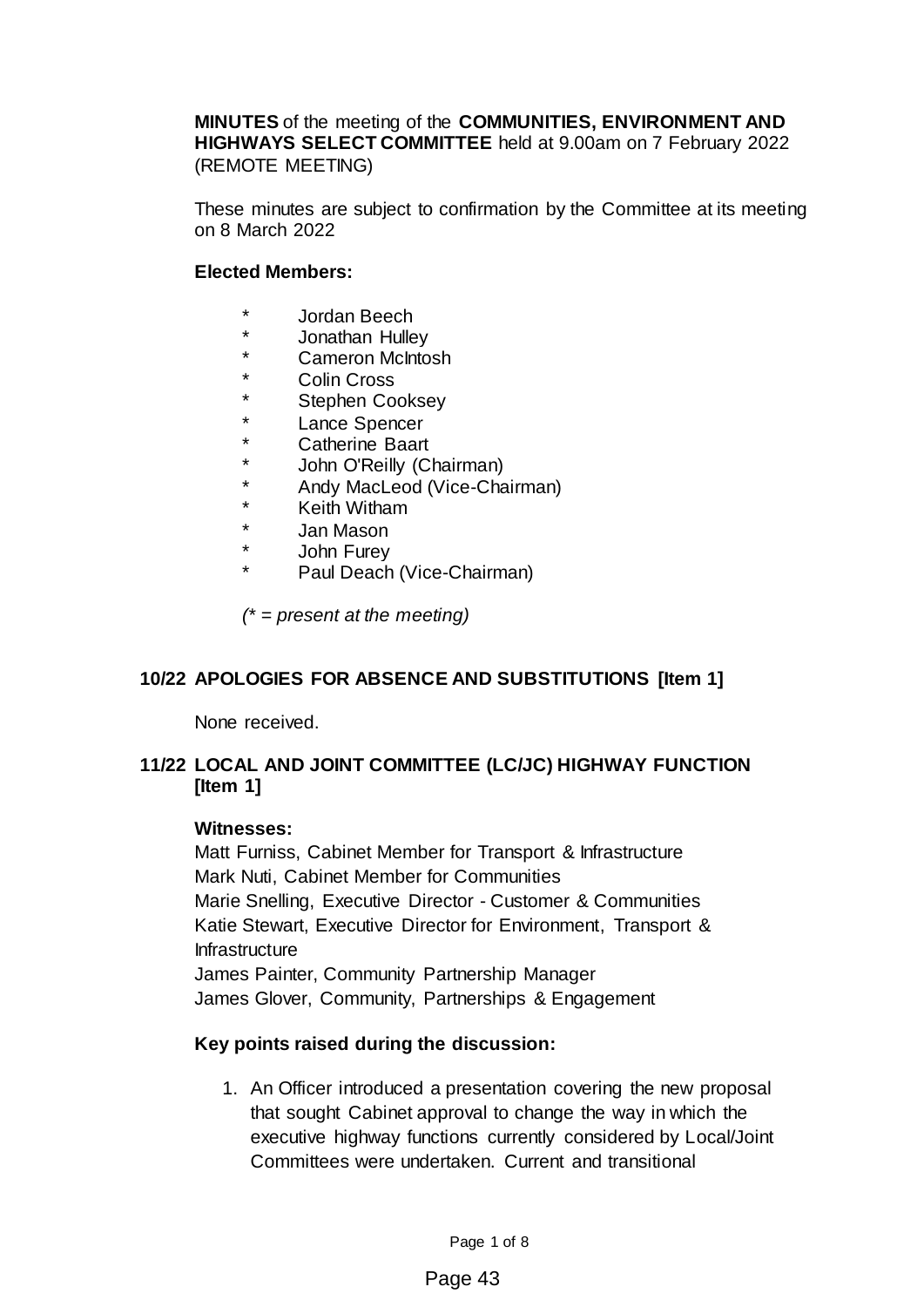**MINUTES** of the meeting of the **COMMUNITIES, ENVIRONMENT AND HIGHWAYS SELECT COMMITTEE** held at 9.00am on 7 February 2022 (REMOTE MEETING)

These minutes are subject to confirmation by the Committee at its meeting on 8 March 2022

#### **Elected Members:**

- \* Jordan Beech
- Jonathan Hulley
- Cameron McIntosh
- \* Colin Cross
- \* Stephen Cooksey<br>\* 1.2000 Spepeer
- \* Lance Spencer<br>A Catherine Board
- \* Catherine Baart
- \* John O'Reilly (Chairman)<br>\* Andy MacLeod (Vice-Chair
- \* Andy MacLeod (Vice-Chairman)
- \* Keith Witham
- \* Jan Mason
- \* John Furey
	- Paul Deach (Vice-Chairman)

*(\* = present at the meeting)*

### **10/22 APOLOGIES FOR ABSENCE AND SUBSTITUTIONS [Item 1]**

None received.

### **11/22 LOCAL AND JOINT COMMITTEE (LC/JC) HIGHWAY FUNCTION [Item 1]**

#### **Witnesses:**

Matt Furniss, Cabinet Member for Transport & Infrastructure Mark Nuti, Cabinet Member for Communities Marie Snelling, Executive Director - Customer & Communities Katie Stewart, Executive Director for Environment, Transport & **Infrastructure** James Painter, Community Partnership Manager James Glover, Community, Partnerships & Engagement

### **Key points raised during the discussion:**

1. An Officer introduced a presentation covering the new proposal that sought Cabinet approval to change the way in which the executive highway functions currently considered by Local/Joint Committees were undertaken. Current and transitional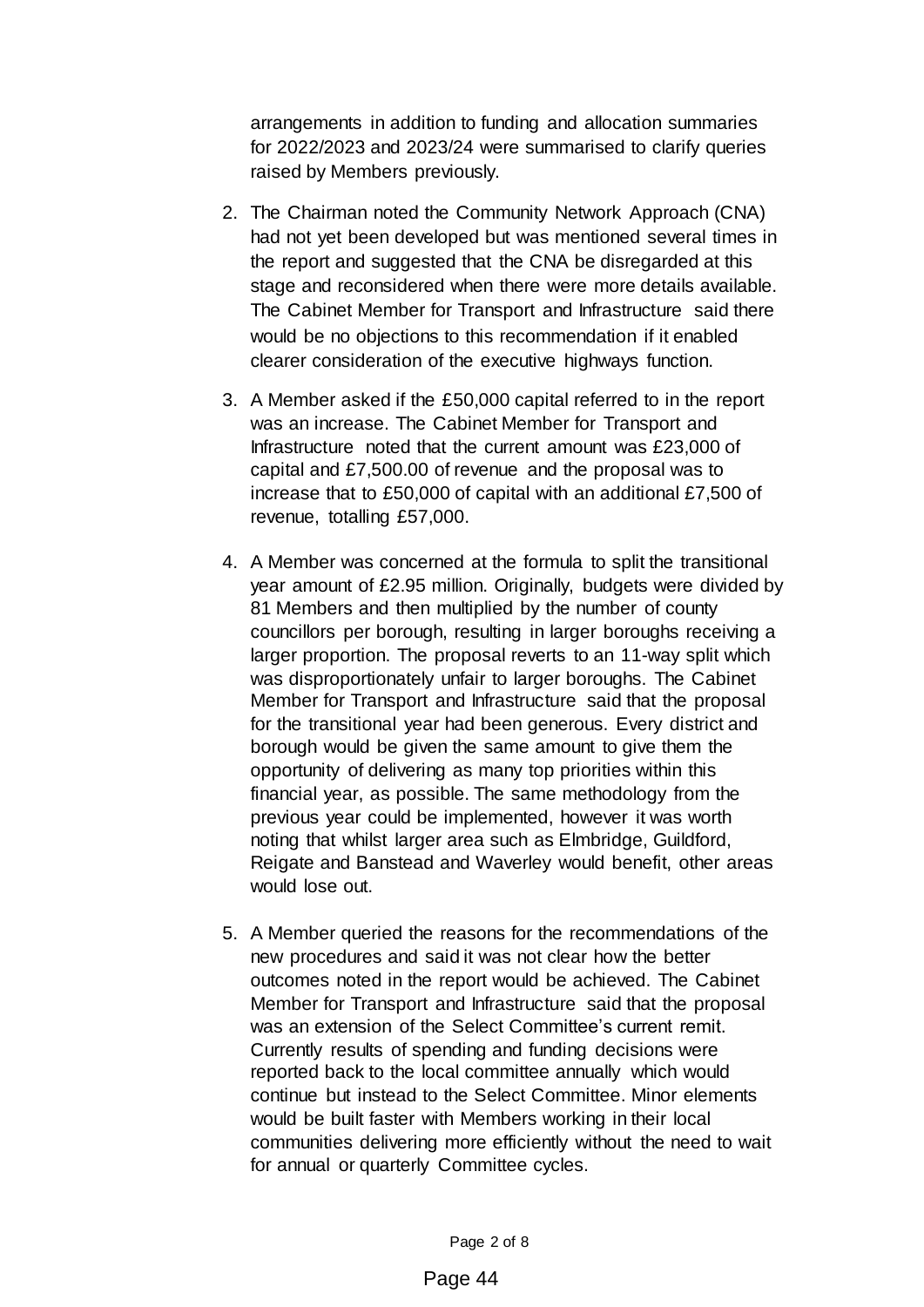arrangements in addition to funding and allocation summaries for 2022/2023 and 2023/24 were summarised to clarify queries raised by Members previously.

- 2. The Chairman noted the Community Network Approach (CNA) had not yet been developed but was mentioned several times in the report and suggested that the CNA be disregarded at this stage and reconsidered when there were more details available. The Cabinet Member for Transport and Infrastructure said there would be no objections to this recommendation if it enabled clearer consideration of the executive highways function.
- 3. A Member asked if the £50,000 capital referred to in the report was an increase. The Cabinet Member for Transport and Infrastructure noted that the current amount was £23,000 of capital and £7,500.00 of revenue and the proposal was to increase that to £50,000 of capital with an additional £7,500 of revenue, totalling £57,000.
- 4. A Member was concerned at the formula to split the transitional year amount of £2.95 million. Originally, budgets were divided by 81 Members and then multiplied by the number of county councillors per borough, resulting in larger boroughs receiving a larger proportion. The proposal reverts to an 11-way split which was disproportionately unfair to larger boroughs. The Cabinet Member for Transport and Infrastructure said that the proposal for the transitional year had been generous. Every district and borough would be given the same amount to give them the opportunity of delivering as many top priorities within this financial year, as possible. The same methodology from the previous year could be implemented, however it was worth noting that whilst larger area such as Elmbridge, Guildford, Reigate and Banstead and Waverley would benefit, other areas would lose out.
- 5. A Member queried the reasons for the recommendations of the new procedures and said it was not clear how the better outcomes noted in the report would be achieved. The Cabinet Member for Transport and Infrastructure said that the proposal was an extension of the Select Committee's current remit. Currently results of spending and funding decisions were reported back to the local committee annually which would continue but instead to the Select Committee. Minor elements would be built faster with Members working in their local communities delivering more efficiently without the need to wait for annual or quarterly Committee cycles.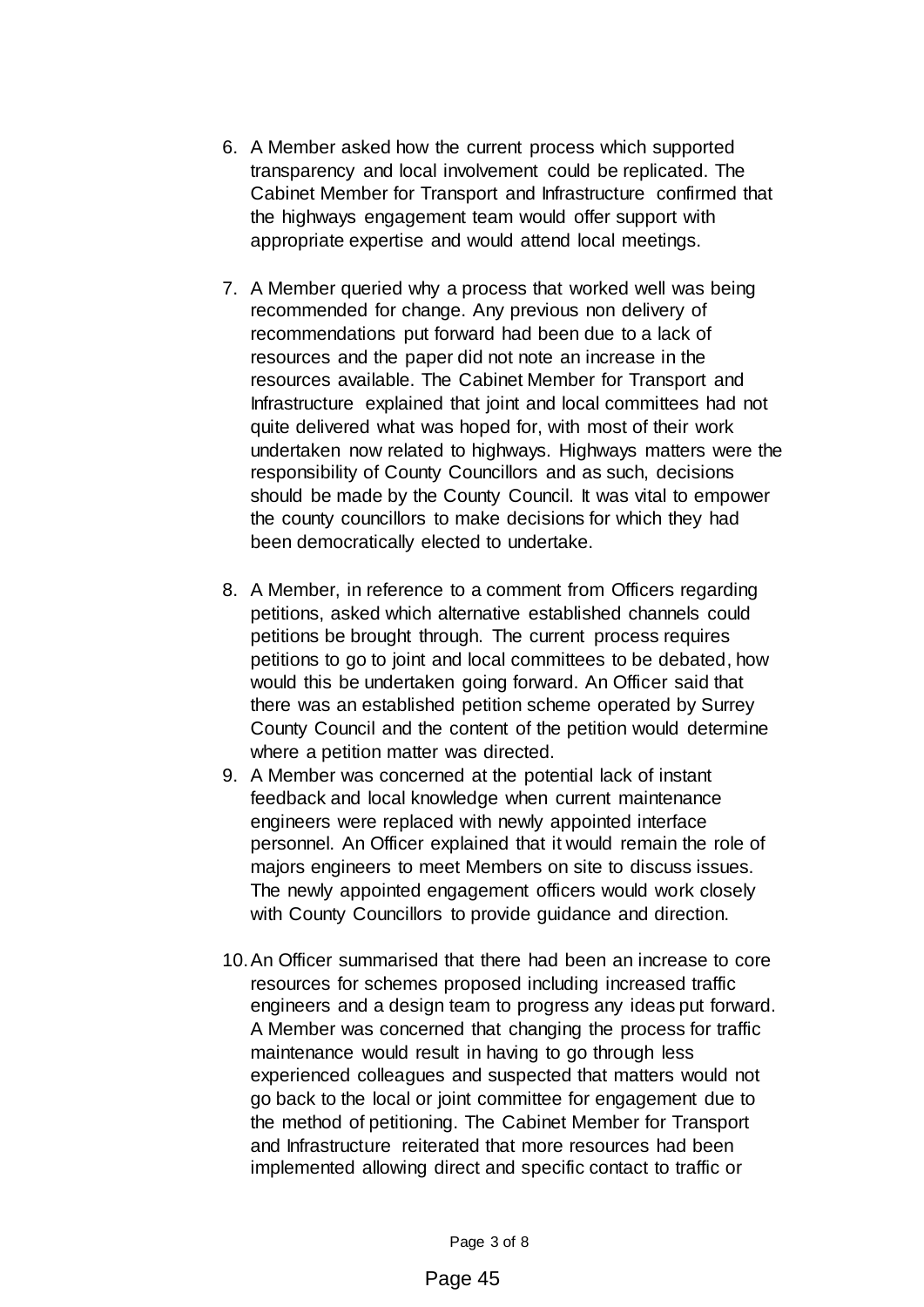- 6. A Member asked how the current process which supported transparency and local involvement could be replicated. The Cabinet Member for Transport and Infrastructure confirmed that the highways engagement team would offer support with appropriate expertise and would attend local meetings.
- 7. A Member queried why a process that worked well was being recommended for change. Any previous non delivery of recommendations put forward had been due to a lack of resources and the paper did not note an increase in the resources available. The Cabinet Member for Transport and Infrastructure explained that joint and local committees had not quite delivered what was hoped for, with most of their work undertaken now related to highways. Highways matters were the responsibility of County Councillors and as such, decisions should be made by the County Council. It was vital to empower the county councillors to make decisions for which they had been democratically elected to undertake.
- 8. A Member, in reference to a comment from Officers regarding petitions, asked which alternative established channels could petitions be brought through. The current process requires petitions to go to joint and local committees to be debated, how would this be undertaken going forward. An Officer said that there was an established petition scheme operated by Surrey County Council and the content of the petition would determine where a petition matter was directed.
- 9. A Member was concerned at the potential lack of instant feedback and local knowledge when current maintenance engineers were replaced with newly appointed interface personnel. An Officer explained that it would remain the role of majors engineers to meet Members on site to discuss issues. The newly appointed engagement officers would work closely with County Councillors to provide guidance and direction.
- 10.An Officer summarised that there had been an increase to core resources for schemes proposed including increased traffic engineers and a design team to progress any ideas put forward. A Member was concerned that changing the process for traffic maintenance would result in having to go through less experienced colleagues and suspected that matters would not go back to the local or joint committee for engagement due to the method of petitioning. The Cabinet Member for Transport and Infrastructure reiterated that more resources had been implemented allowing direct and specific contact to traffic or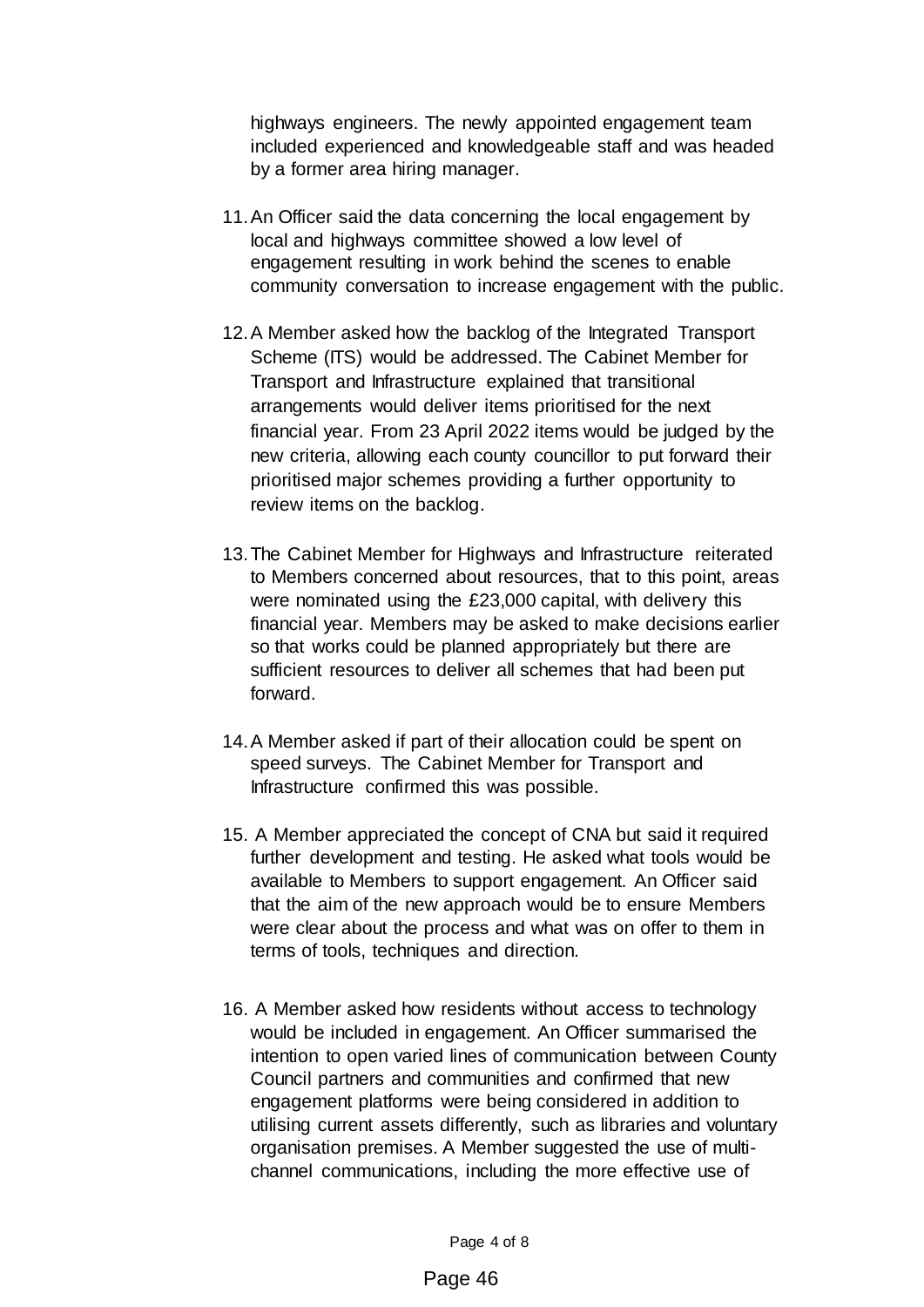highways engineers. The newly appointed engagement team included experienced and knowledgeable staff and was headed by a former area hiring manager.

- 11.An Officer said the data concerning the local engagement by local and highways committee showed a low level of engagement resulting in work behind the scenes to enable community conversation to increase engagement with the public.
- 12.A Member asked how the backlog of the Integrated Transport Scheme (ITS) would be addressed. The Cabinet Member for Transport and Infrastructure explained that transitional arrangements would deliver items prioritised for the next financial year. From 23 April 2022 items would be judged by the new criteria, allowing each county councillor to put forward their prioritised major schemes providing a further opportunity to review items on the backlog.
- 13.The Cabinet Member for Highways and Infrastructure reiterated to Members concerned about resources, that to this point, areas were nominated using the £23,000 capital, with delivery this financial year. Members may be asked to make decisions earlier so that works could be planned appropriately but there are sufficient resources to deliver all schemes that had been put forward.
- 14.A Member asked if part of their allocation could be spent on speed surveys. The Cabinet Member for Transport and Infrastructure confirmed this was possible.
- 15. A Member appreciated the concept of CNA but said it required further development and testing. He asked what tools would be available to Members to support engagement. An Officer said that the aim of the new approach would be to ensure Members were clear about the process and what was on offer to them in terms of tools, techniques and direction.
- 16. A Member asked how residents without access to technology would be included in engagement. An Officer summarised the intention to open varied lines of communication between County Council partners and communities and confirmed that new engagement platforms were being considered in addition to utilising current assets differently, such as libraries and voluntary organisation premises. A Member suggested the use of multichannel communications, including the more effective use of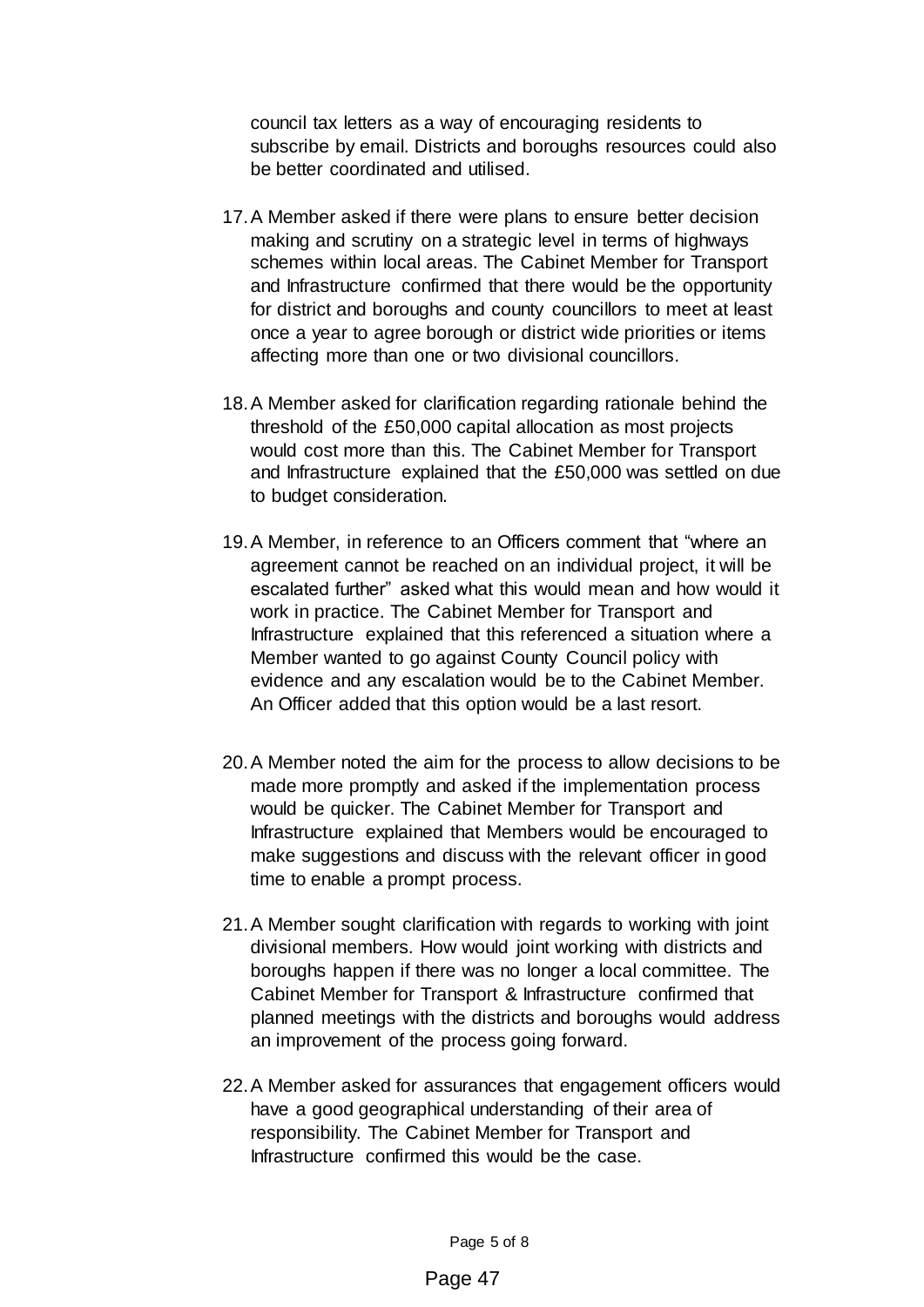council tax letters as a way of encouraging residents to subscribe by email. Districts and boroughs resources could also be better coordinated and utilised.

- 17.A Member asked if there were plans to ensure better decision making and scrutiny on a strategic level in terms of highways schemes within local areas. The Cabinet Member for Transport and Infrastructure confirmed that there would be the opportunity for district and boroughs and county councillors to meet at least once a year to agree borough or district wide priorities or items affecting more than one or two divisional councillors.
- 18.A Member asked for clarification regarding rationale behind the threshold of the £50,000 capital allocation as most projects would cost more than this. The Cabinet Member for Transport and Infrastructure explained that the £50,000 was settled on due to budget consideration.
- 19.A Member, in reference to an Officers comment that "where an agreement cannot be reached on an individual project, it will be escalated further" asked what this would mean and how would it work in practice. The Cabinet Member for Transport and Infrastructure explained that this referenced a situation where a Member wanted to go against County Council policy with evidence and any escalation would be to the Cabinet Member. An Officer added that this option would be a last resort.
- 20.A Member noted the aim for the process to allow decisions to be made more promptly and asked if the implementation process would be quicker. The Cabinet Member for Transport and Infrastructure explained that Members would be encouraged to make suggestions and discuss with the relevant officer in good time to enable a prompt process.
- 21.A Member sought clarification with regards to working with joint divisional members. How would joint working with districts and boroughs happen if there was no longer a local committee. The Cabinet Member for Transport & Infrastructure confirmed that planned meetings with the districts and boroughs would address an improvement of the process going forward.
- 22.A Member asked for assurances that engagement officers would have a good geographical understanding of their area of responsibility. The Cabinet Member for Transport and Infrastructure confirmed this would be the case.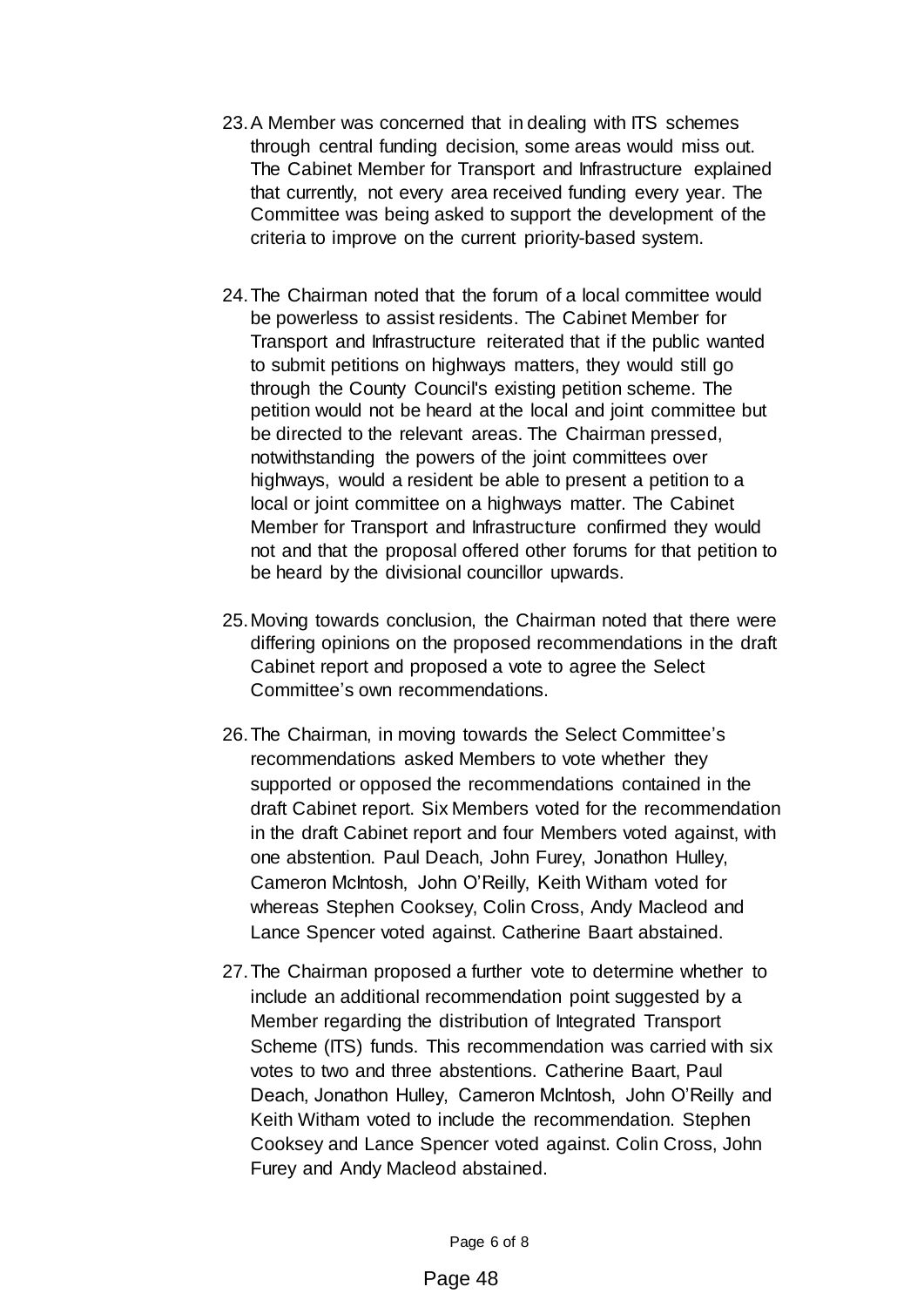- 23.A Member was concerned that in dealing with ITS schemes through central funding decision, some areas would miss out. The Cabinet Member for Transport and Infrastructure explained that currently, not every area received funding every year. The Committee was being asked to support the development of the criteria to improve on the current priority-based system.
- 24.The Chairman noted that the forum of a local committee would be powerless to assist residents. The Cabinet Member for Transport and Infrastructure reiterated that if the public wanted to submit petitions on highways matters, they would still go through the County Council's existing petition scheme. The petition would not be heard at the local and joint committee but be directed to the relevant areas. The Chairman pressed, notwithstanding the powers of the joint committees over highways, would a resident be able to present a petition to a local or joint committee on a highways matter. The Cabinet Member for Transport and Infrastructure confirmed they would not and that the proposal offered other forums for that petition to be heard by the divisional councillor upwards.
- 25.Moving towards conclusion, the Chairman noted that there were differing opinions on the proposed recommendations in the draft Cabinet report and proposed a vote to agree the Select Committee's own recommendations.
- 26.The Chairman, in moving towards the Select Committee's recommendations asked Members to vote whether they supported or opposed the recommendations contained in the draft Cabinet report. Six Members voted for the recommendation in the draft Cabinet report and four Members voted against, with one abstention. Paul Deach, John Furey, Jonathon Hulley, Cameron McIntosh, John O'Reilly, Keith Witham voted for whereas Stephen Cooksey, Colin Cross, Andy Macleod and Lance Spencer voted against. Catherine Baart abstained.
- 27.The Chairman proposed a further vote to determine whether to include an additional recommendation point suggested by a Member regarding the distribution of Integrated Transport Scheme (ITS) funds. This recommendation was carried with six votes to two and three abstentions. Catherine Baart, Paul Deach, Jonathon Hulley, Cameron McIntosh, John O'Reilly and Keith Witham voted to include the recommendation. Stephen Cooksey and Lance Spencer voted against. Colin Cross, John Furey and Andy Macleod abstained.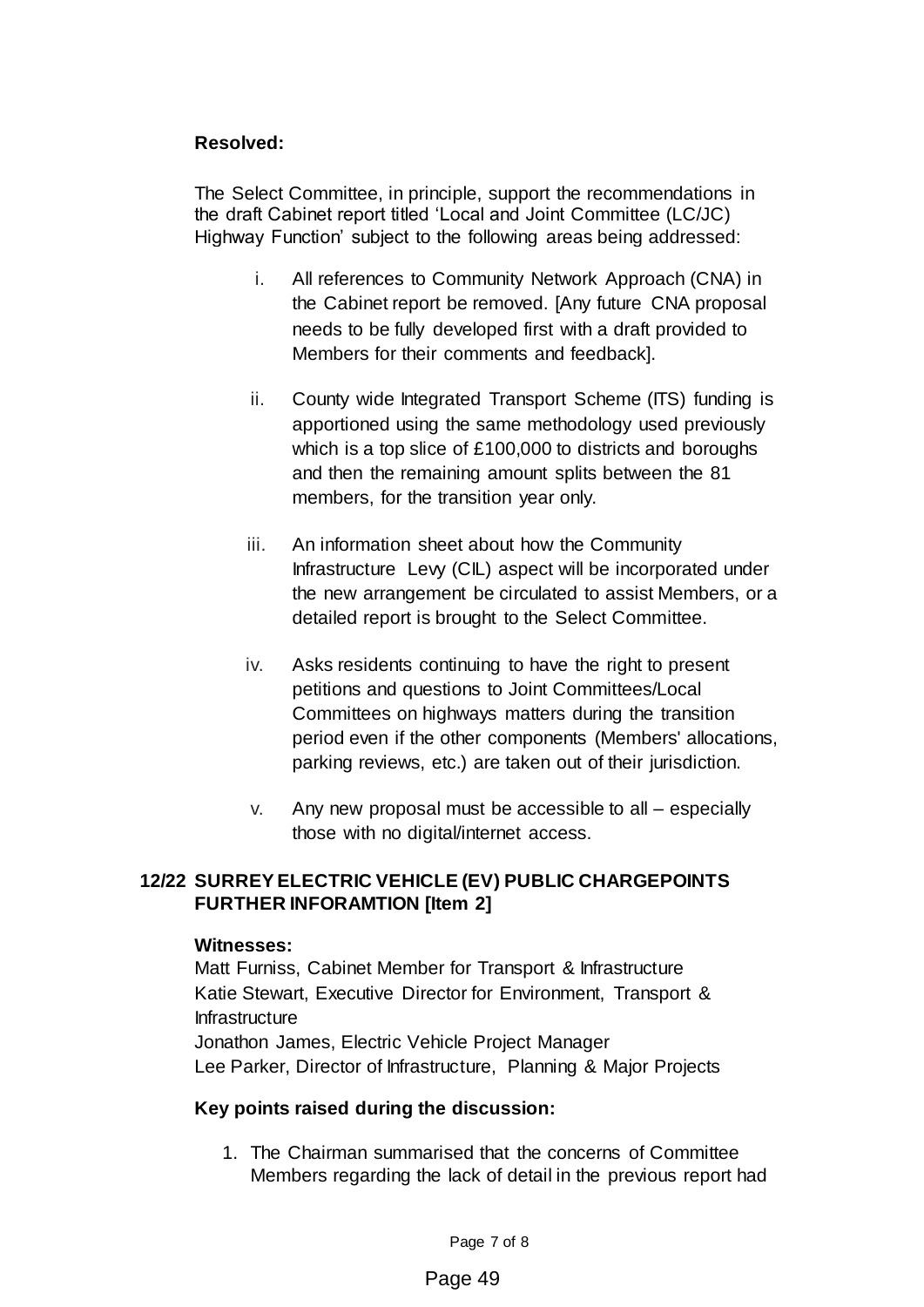## **Resolved:**

The Select Committee, in principle, support the recommendations in the draft Cabinet report titled 'Local and Joint Committee (LC/JC) Highway Function' subject to the following areas being addressed:

- i. All references to Community Network Approach (CNA) in the Cabinet report be removed. [Any future CNA proposal needs to be fully developed first with a draft provided to Members for their comments and feedback].
- ii. County wide Integrated Transport Scheme (ITS) funding is apportioned using the same methodology used previously which is a top slice of £100,000 to districts and boroughs and then the remaining amount splits between the 81 members, for the transition year only.
- iii. An information sheet about how the Community Infrastructure Levy (CIL) aspect will be incorporated under the new arrangement be circulated to assist Members, or a detailed report is brought to the Select Committee.
- iv. Asks residents continuing to have the right to present petitions and questions to Joint Committees/Local Committees on highways matters during the transition period even if the other components (Members' allocations, parking reviews, etc.) are taken out of their jurisdiction.
- v. Any new proposal must be accessible to all especially those with no digital/internet access.

# **12/22 SURREYELECTRIC VEHICLE (EV) PUBLIC CHARGEPOINTS FURTHER INFORAMTION [Item 2]**

### **Witnesses:**

Matt Furniss, Cabinet Member for Transport & Infrastructure Katie Stewart, Executive Director for Environment, Transport & Infrastructure Jonathon James, Electric Vehicle Project Manager Lee Parker, Director of Infrastructure, Planning & Major Projects

### **Key points raised during the discussion:**

1. The Chairman summarised that the concerns of Committee Members regarding the lack of detail in the previous report had